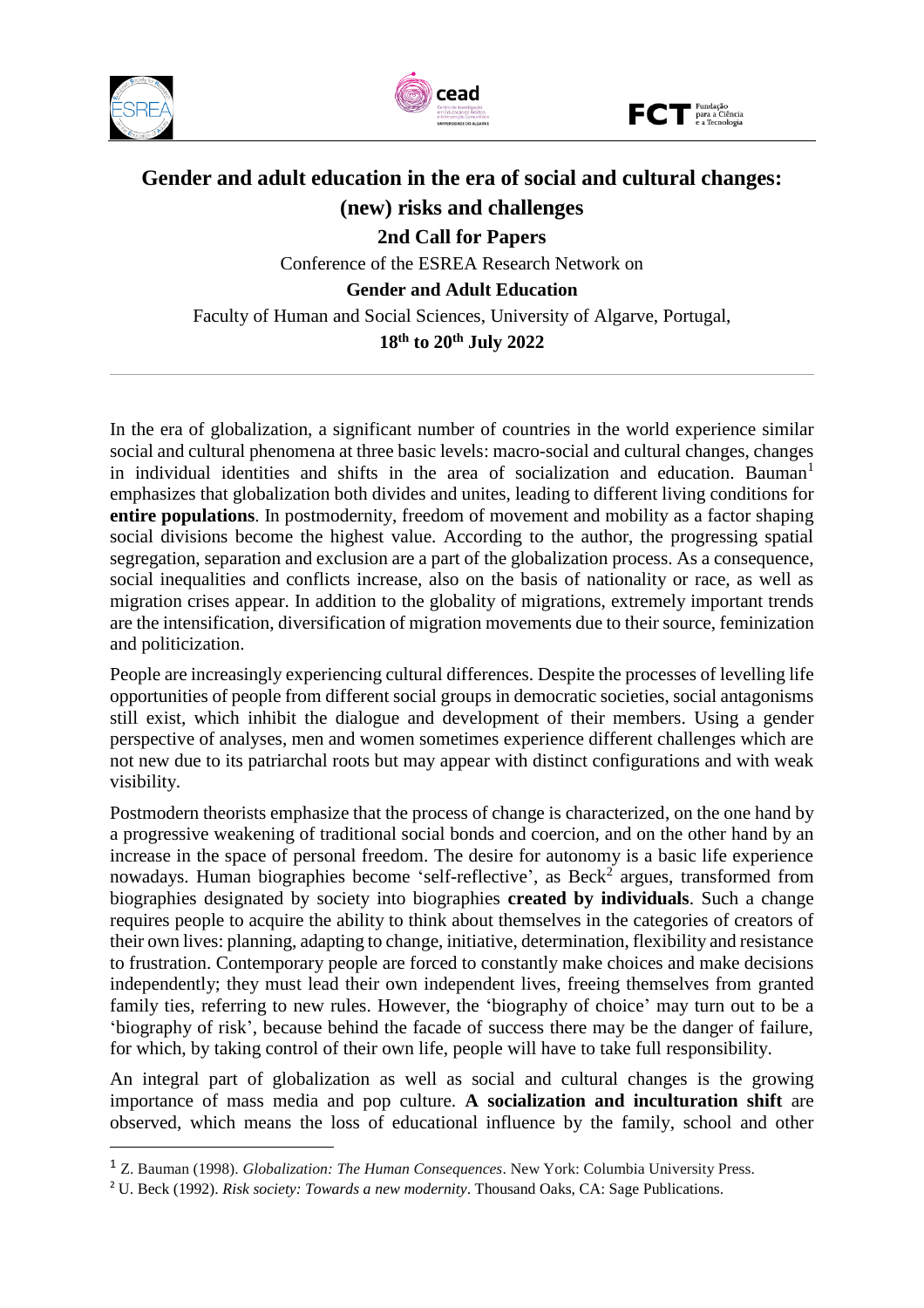

j





# **Gender and adult education in the era of social and cultural changes: (new) risks and challenges 2nd Call for Papers** Conference of the ESREA Research Network on

**Gender and Adult Education**

Faculty of Human and Social Sciences, University of Algarve, Portugal, **18 th to 20th July 2022**

In the era of globalization, a significant number of countries in the world experience similar social and cultural phenomena at three basic levels: macro-social and cultural changes, changes in individual identities and shifts in the area of socialization and education. Bauman<sup>1</sup> emphasizes that globalization both divides and unites, leading to different living conditions for **entire populations**. In postmodernity, freedom of movement and mobility as a factor shaping social divisions become the highest value. According to the author, the progressing spatial segregation, separation and exclusion are a part of the globalization process. As a consequence, social inequalities and conflicts increase, also on the basis of nationality or race, as well as migration crises appear. In addition to the globality of migrations, extremely important trends are the intensification, diversification of migration movements due to their source, feminization and politicization.

People are increasingly experiencing cultural differences. Despite the processes of levelling life opportunities of people from different social groups in democratic societies, social antagonisms still exist, which inhibit the dialogue and development of their members. Using a gender perspective of analyses, men and women sometimes experience different challenges which are not new due to its patriarchal roots but may appear with distinct configurations and with weak visibility.

Postmodern theorists emphasize that the process of change is characterized, on the one hand by a progressive weakening of traditional social bonds and coercion, and on the other hand by an increase in the space of personal freedom. The desire for autonomy is a basic life experience nowadays. Human biographies become 'self-reflective', as Beck<sup>2</sup> argues, transformed from biographies designated by society into biographies **created by individuals**. Such a change requires people to acquire the ability to think about themselves in the categories of creators of their own lives: planning, adapting to change, initiative, determination, flexibility and resistance to frustration. Contemporary people are forced to constantly make choices and make decisions independently; they must lead their own independent lives, freeing themselves from granted family ties, referring to new rules. However, the 'biography of choice' may turn out to be a 'biography of risk', because behind the facade of success there may be the danger of failure, for which, by taking control of their own life, people will have to take full responsibility.

An integral part of globalization as well as social and cultural changes is the growing importance of mass media and pop culture. **A socialization and inculturation shift** are observed, which means the loss of educational influence by the family, school and other

<sup>1</sup> Z. Bauman (1998). *Globalization: The Human Consequences*. New York: Columbia University Press.

<sup>2</sup> U. Beck (1992). *Risk society: Towards a new modernity*. Thousand Oaks, CA: Sage Publications.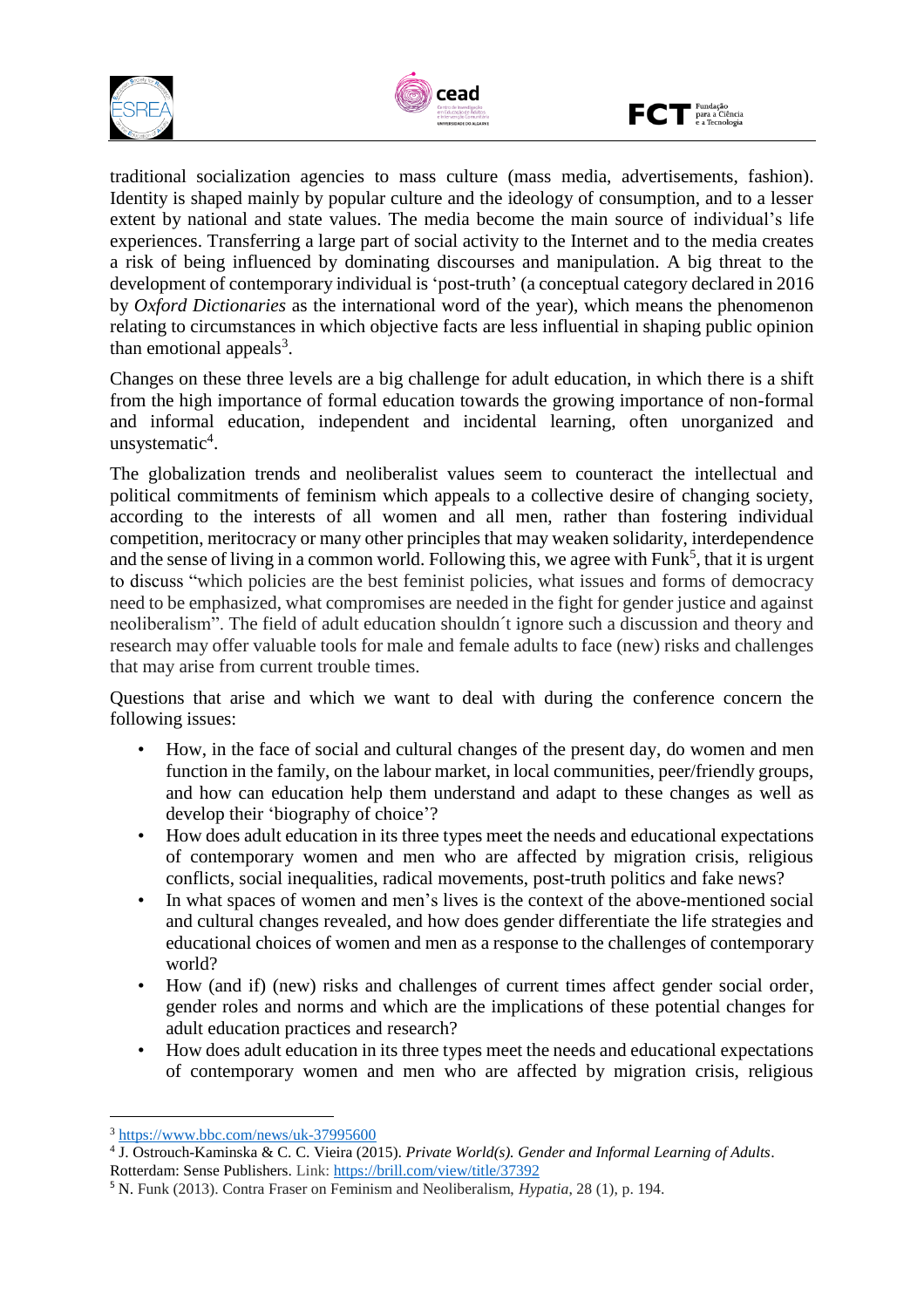





traditional socialization agencies to mass culture (mass media, advertisements, fashion). Identity is shaped mainly by popular culture and the ideology of consumption, and to a lesser extent by national and state values. The media become the main source of individual's life experiences. Transferring a large part of social activity to the Internet and to the media creates a risk of being influenced by dominating discourses and manipulation. A big threat to the development of contemporary individual is 'post-truth' (a conceptual category declared in 2016 by *Oxford Dictionaries* as the international word of the year), which means the phenomenon relating to circumstances in which objective facts are less influential in shaping public opinion than emotional appeals<sup>3</sup>.

Changes on these three levels are a big challenge for adult education, in which there is a shift from the high importance of formal education towards the growing importance of non-formal and informal education, independent and incidental learning, often unorganized and unsystematic 4 .

The globalization trends and neoliberalist values seem to counteract the intellectual and political commitments of feminism which appeals to a collective desire of changing society, according to the interests of all women and all men, rather than fostering individual competition, meritocracy or many other principles that may weaken solidarity, interdependence and the sense of living in a common world. Following this, we agree with Funk<sup>5</sup>, that it is urgent to discuss "which policies are the best feminist policies, what issues and forms of democracy need to be emphasized, what compromises are needed in the fight for gender justice and against neoliberalism". The field of adult education shouldn´t ignore such a discussion and theory and research may offer valuable tools for male and female adults to face (new) risks and challenges that may arise from current trouble times.

Questions that arise and which we want to deal with during the conference concern the following issues:

- How, in the face of social and cultural changes of the present day, do women and men function in the family, on the labour market, in local communities, peer/friendly groups, and how can education help them understand and adapt to these changes as well as develop their 'biography of choice'?
- How does adult education in its three types meet the needs and educational expectations of contemporary women and men who are affected by migration crisis, religious conflicts, social inequalities, radical movements, post-truth politics and fake news?
- In what spaces of women and men's lives is the context of the above-mentioned social and cultural changes revealed, and how does gender differentiate the life strategies and educational choices of women and men as a response to the challenges of contemporary world?
- How (and if) (new) risks and challenges of current times affect gender social order, gender roles and norms and which are the implications of these potential changes for adult education practices and research?
- How does adult education in its three types meet the needs and educational expectations of contemporary women and men who are affected by migration crisis, religious

 $\overline{a}$ 

<sup>3</sup> <https://www.bbc.com/news/uk-37995600>

<sup>4</sup> J. Ostrouch-Kaminska & C. C. Vieira (2015). *Private World(s). Gender and Informal Learning of Adults*.

Rotterdam: Sense Publishers. Link:<https://brill.com/view/title/37392>

<sup>5</sup> N. Funk (2013). Contra Fraser on Feminism and Neoliberalism, *Hypatia*, 28 (1), p. 194.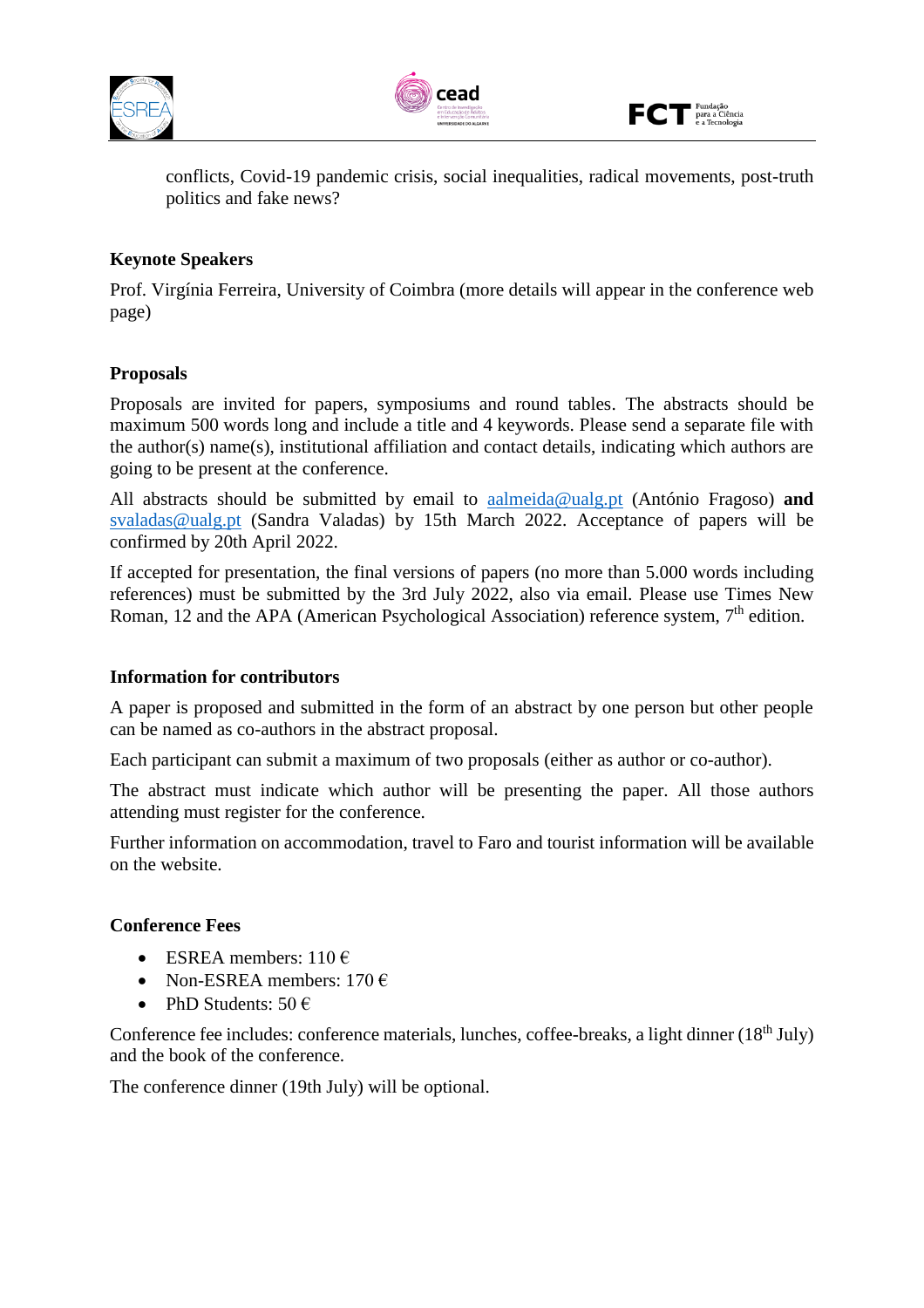





conflicts, Covid-19 pandemic crisis, social inequalities, radical movements, post-truth politics and fake news?

## **Keynote Speakers**

Prof. Virgínia Ferreira, University of Coimbra (more details will appear in the conference web page)

## **Proposals**

Proposals are invited for papers, symposiums and round tables. The abstracts should be maximum 500 words long and include a title and 4 keywords. Please send a separate file with the author(s) name(s), institutional affiliation and contact details, indicating which authors are going to be present at the conference.

All abstracts should be submitted by email to [aalmeida@ualg.pt](mailto:aalmeida@ualg.pt) (António Fragoso) **and** [svaladas@ualg.pt](mailto:svaladas@ualg.pt) (Sandra Valadas) by 15th March 2022. Acceptance of papers will be confirmed by 20th April 2022.

If accepted for presentation, the final versions of papers (no more than 5.000 words including references) must be submitted by the 3rd July 2022, also via email. Please use Times New Roman, 12 and the APA (American Psychological Association) reference system, 7<sup>th</sup> edition.

#### **Information for contributors**

A paper is proposed and submitted in the form of an abstract by one person but other people can be named as co-authors in the abstract proposal.

Each participant can submit a maximum of two proposals (either as author or co-author).

The abstract must indicate which author will be presenting the paper. All those authors attending must register for the conference.

Further information on accommodation, travel to Faro and tourist information will be available on the website.

#### **Conference Fees**

- ESREA members:  $110 \in$
- Non-ESREA members:  $170 \in$
- PhD Students:  $50 \in$

Conference fee includes: conference materials, lunches, coffee-breaks, a light dinner (18<sup>th</sup> July) and the book of the conference.

The conference dinner (19th July) will be optional.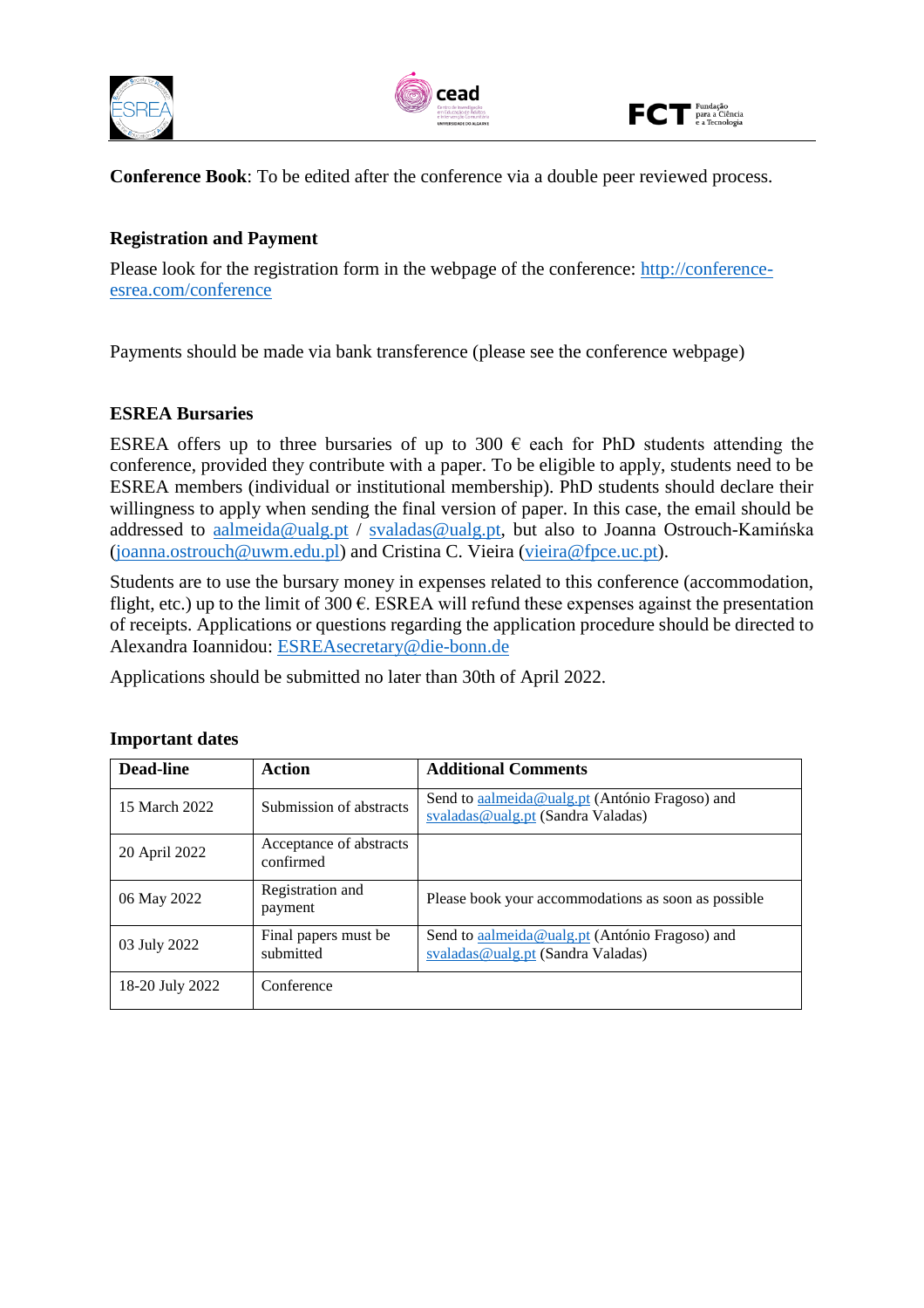





**Conference Book**: To be edited after the conference via a double peer reviewed process.

## **Registration and Payment**

Please look for the registration form in the webpage of the conference: [http://conference](http://conference-esrea.com/conference)[esrea.com/conference](http://conference-esrea.com/conference)

Payments should be made via bank transference (please see the conference webpage)

#### **ESREA Bursaries**

ESREA offers up to three bursaries of up to 300  $\epsilon$  each for PhD students attending the conference, provided they contribute with a paper. To be eligible to apply, students need to be ESREA members (individual or institutional membership). PhD students should declare their willingness to apply when sending the final version of paper. In this case, the email should be addressed to [aalmeida@ualg.pt](mailto:aalmeida@ualg.pt) / [svaladas@ualg.pt,](mailto:svaladas@ualg.pt) but also to Joanna Ostrouch-Kamińska [\(joanna.ostrouch@uwm.edu.pl\)](mailto:joanna.ostrouch@uwm.edu.pl) and Cristina C. Vieira [\(vieira@fpce.uc.pt\)](mailto:vieira@fpce.uc.pt).

Students are to use the bursary money in expenses related to this conference (accommodation, flight, etc.) up to the limit of 300  $\epsilon$ . ESREA will refund these expenses against the presentation of receipts. Applications or questions regarding the application procedure should be directed to Alexandra Ioannidou: [ESREAsecretary@die-bonn.de](mailto:ESREAsecretary@die-bonn.de)

Applications should be submitted no later than 30th of April 2022.

| Dead-line       | Action                               | <b>Additional Comments</b>                                                          |
|-----------------|--------------------------------------|-------------------------------------------------------------------------------------|
| 15 March 2022   | Submission of abstracts              | Send to aalmeida@ualg.pt (António Fragoso) and<br>svaladas@ualg.pt (Sandra Valadas) |
| 20 April 2022   | Acceptance of abstracts<br>confirmed |                                                                                     |
| 06 May 2022     | Registration and<br>payment          | Please book your accommodations as soon as possible                                 |
| 03 July 2022    | Final papers must be<br>submitted    | Send to aalmeida@ualg.pt (António Fragoso) and<br>svaladas@ualg.pt (Sandra Valadas) |
| 18-20 July 2022 | Conference                           |                                                                                     |

#### **Important dates**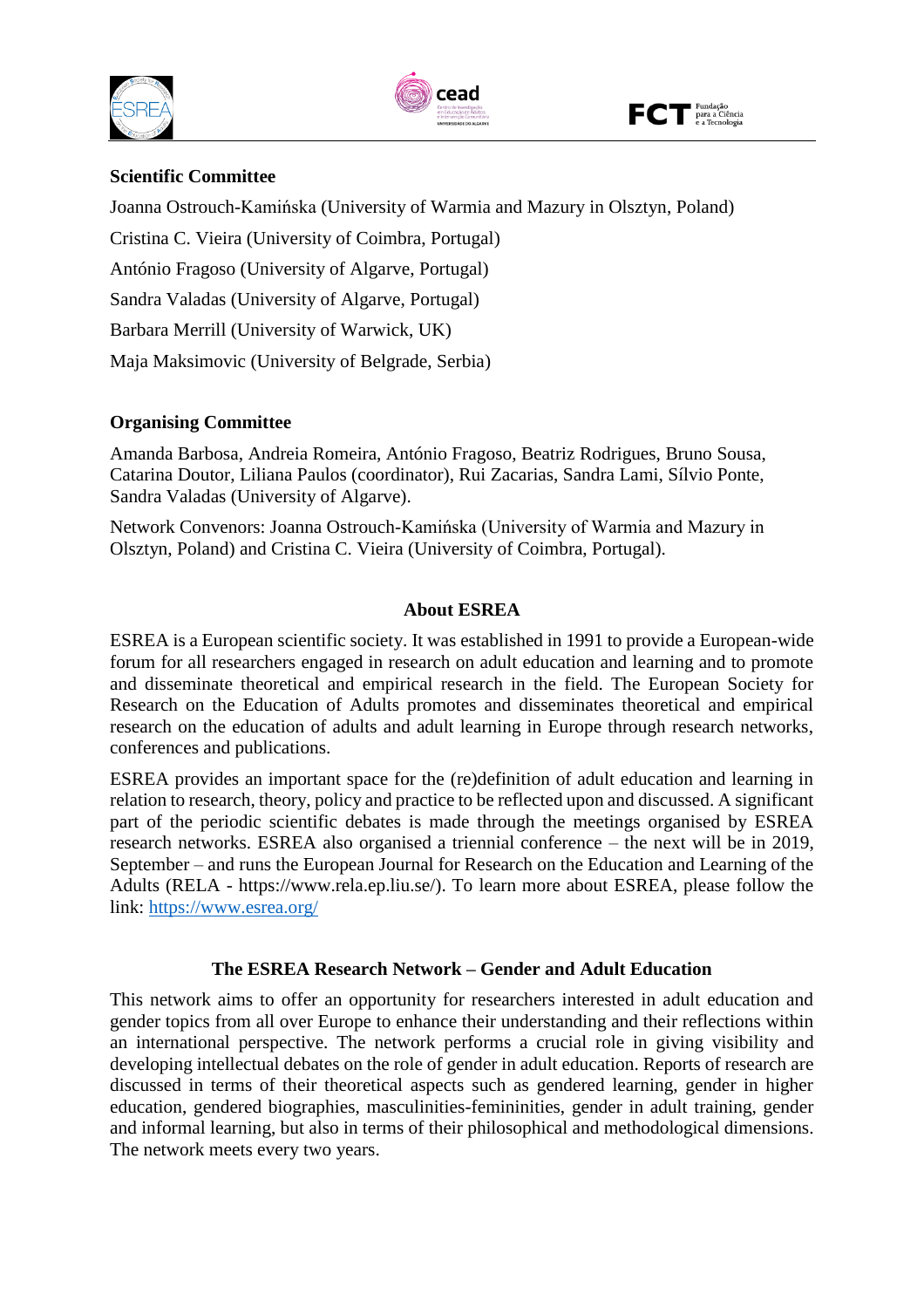





#### **Scientific Committee**

Joanna Ostrouch-Kamińska (University of Warmia and Mazury in Olsztyn, Poland)

Cristina C. Vieira (University of Coimbra, Portugal)

António Fragoso (University of Algarve, Portugal)

Sandra Valadas (University of Algarve, Portugal)

Barbara Merrill (University of Warwick, UK)

Maja Maksimovic (University of Belgrade, Serbia)

## **Organising Committee**

Amanda Barbosa, Andreia Romeira, António Fragoso, Beatriz Rodrigues, Bruno Sousa, Catarina Doutor, Liliana Paulos (coordinator), Rui Zacarias, Sandra Lami, Sílvio Ponte, Sandra Valadas (University of Algarve).

Network Convenors: Joanna Ostrouch-Kamińska (University of Warmia and Mazury in Olsztyn, Poland) and Cristina C. Vieira (University of Coimbra, Portugal).

## **About ESREA**

ESREA is a European scientific society. It was established in 1991 to provide a European-wide forum for all researchers engaged in research on adult education and learning and to promote and disseminate theoretical and empirical research in the field. The European Society for Research on the Education of Adults promotes and disseminates theoretical and empirical research on the education of adults and adult learning in Europe through research networks, conferences and publications.

ESREA provides an important space for the (re)definition of adult education and learning in relation to research, theory, policy and practice to be reflected upon and discussed. A significant part of the periodic scientific debates is made through the meetings organised by ESREA research networks. ESREA also organised a triennial conference – the next will be in 2019, September – and runs the European Journal for Research on the Education and Learning of the Adults (RELA - https://www.rela.ep.liu.se/). To learn more about ESREA, please follow the link:<https://www.esrea.org/>

#### **The ESREA Research Network – Gender and Adult Education**

This network aims to offer an opportunity for researchers interested in adult education and gender topics from all over Europe to enhance their understanding and their reflections within an international perspective. The network performs a crucial role in giving visibility and developing intellectual debates on the role of gender in adult education. Reports of research are discussed in terms of their theoretical aspects such as gendered learning, gender in higher education, gendered biographies, masculinities-femininities, gender in adult training, gender and informal learning, but also in terms of their philosophical and methodological dimensions. The network meets every two years.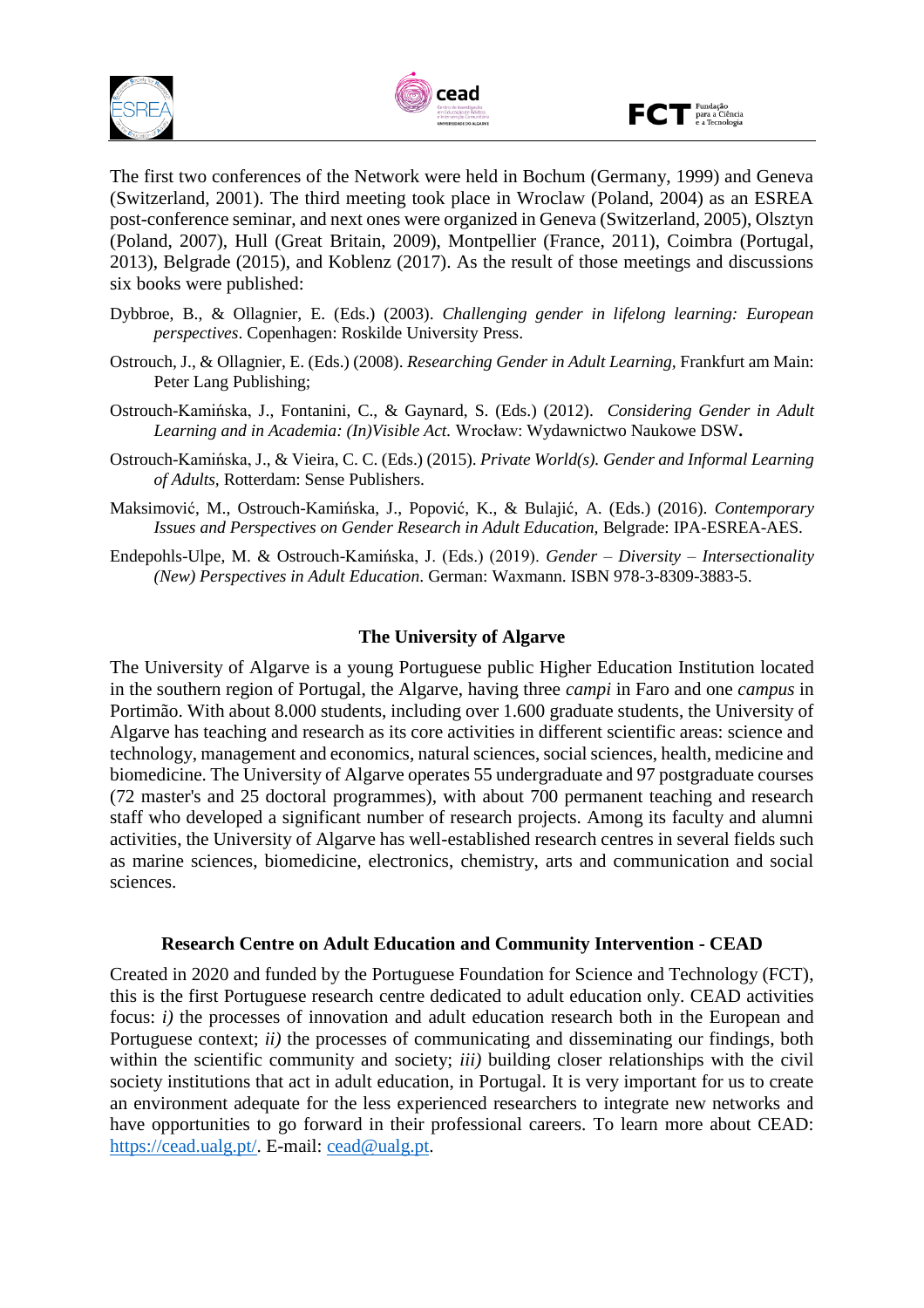





The first two conferences of the Network were held in Bochum (Germany, 1999) and Geneva (Switzerland, 2001). The third meeting took place in Wroclaw (Poland, 2004) as an ESREA post-conference seminar, and next ones were organized in Geneva (Switzerland, 2005), Olsztyn (Poland, 2007), Hull (Great Britain, 2009), Montpellier (France, 2011), Coimbra (Portugal, 2013), Belgrade (2015), and Koblenz (2017). As the result of those meetings and discussions six books were published:

- Dybbroe, B., & Ollagnier, E. (Eds.) (2003). *Challenging gender in lifelong learning: European perspectives*. Copenhagen: Roskilde University Press.
- Ostrouch, J., & Ollagnier, E. (Eds.) (2008). *Researching Gender in Adult Learning,* Frankfurt am Main: Peter Lang Publishing;
- Ostrouch-Kamińska, J., Fontanini, C., & Gaynard, S. (Eds.) (2012). *Considering Gender in Adult Learning and in Academia: (In)Visible Act.* Wrocław: Wydawnictwo Naukowe DSW**.**
- Ostrouch-Kamińska, J., & Vieira, C. C. (Eds.) (2015). *Private World(s). Gender and Informal Learning of Adults,* Rotterdam: Sense Publishers.
- Maksimović, M., Ostrouch-Kamińska, J., Popović, K., & Bulajić, A. (Eds.) (2016). *Contemporary Issues and Perspectives on Gender Research in Adult Education,* Belgrade: IPA-ESREA-AES.
- Endepohls-Ulpe, M. & Ostrouch-Kamińska, J. (Eds.) (2019). *Gender – Diversity – Intersectionality (New) Perspectives in Adult Education*. German: Waxmann. ISBN 978-3-8309-3883-5.

#### **The University of Algarve**

The University of Algarve is a young Portuguese public Higher Education Institution located in the southern region of Portugal, the Algarve, having three *campi* in Faro and one *campus* in Portimão. With about 8.000 students, including over 1.600 graduate students, the University of Algarve has teaching and research as its core activities in different scientific areas: science and technology, management and economics, natural sciences, social sciences, health, medicine and biomedicine. The University of Algarve operates 55 undergraduate and 97 postgraduate courses (72 master's and 25 doctoral programmes), with about 700 permanent teaching and research staff who developed a significant number of research projects. Among its faculty and alumni activities, the University of Algarve has well-established research centres in several fields such as marine sciences, biomedicine, electronics, chemistry, arts and communication and social sciences.

#### **Research Centre on Adult Education and Community Intervention - CEAD**

Created in 2020 and funded by the Portuguese Foundation for Science and Technology (FCT), this is the first Portuguese research centre dedicated to adult education only. CEAD activities focus: *i*) the processes of innovation and adult education research both in the European and Portuguese context; *ii*) the processes of communicating and disseminating our findings, both within the scientific community and society; *iii)* building closer relationships with the civil society institutions that act in adult education, in Portugal. It is very important for us to create an environment adequate for the less experienced researchers to integrate new networks and have opportunities to go forward in their professional careers. To learn more about CEAD: [https://cead.ualg.pt/.](https://cead.ualg.pt/) E-mail: [cead@ualg.pt.](mailto:cead@ualg.pt)